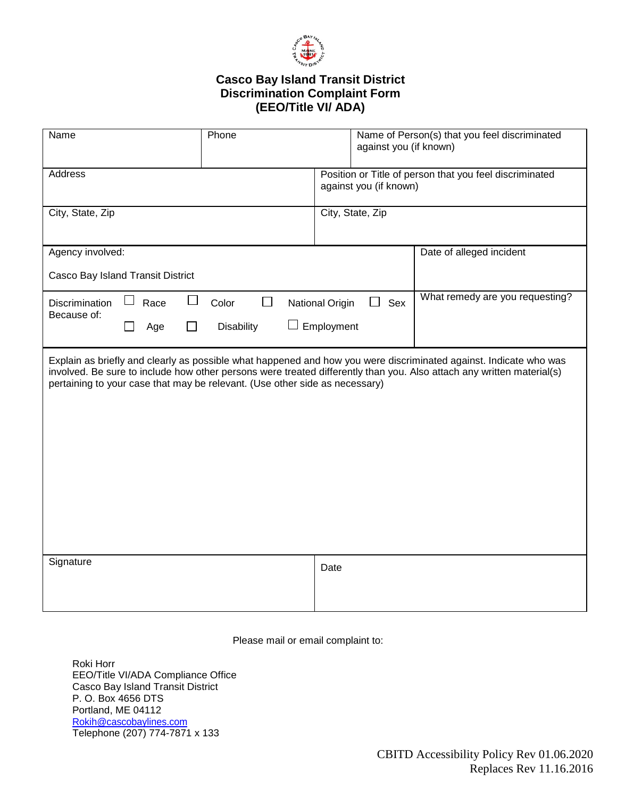

## **Casco Bay Island Transit District Discrimination Complaint Form (EEO/Title VI/ ADA)**

| Name                              |                     | Phone<br>against you (if known)                                             |                                                                                   | Name of Person(s) that you feel discriminated                                                                                                                                                                                              |
|-----------------------------------|---------------------|-----------------------------------------------------------------------------|-----------------------------------------------------------------------------------|--------------------------------------------------------------------------------------------------------------------------------------------------------------------------------------------------------------------------------------------|
| Address                           |                     |                                                                             | Position or Title of person that you feel discriminated<br>against you (if known) |                                                                                                                                                                                                                                            |
| City, State, Zip                  |                     |                                                                             | City, State, Zip                                                                  |                                                                                                                                                                                                                                            |
| Agency involved:                  |                     |                                                                             |                                                                                   | Date of alleged incident                                                                                                                                                                                                                   |
| Casco Bay Island Transit District |                     |                                                                             |                                                                                   |                                                                                                                                                                                                                                            |
| <b>Discrimination</b>             | $\Box$<br>Race<br>ப | $\Box$<br>Color                                                             | National Origin<br>Sex<br>$\blacksquare$                                          | What remedy are you requesting?                                                                                                                                                                                                            |
| Because of:                       | Age                 | <b>Disability</b><br>$\Box$                                                 | Employment                                                                        |                                                                                                                                                                                                                                            |
|                                   |                     | pertaining to your case that may be relevant. (Use other side as necessary) |                                                                                   | Explain as briefly and clearly as possible what happened and how you were discriminated against. Indicate who was<br>involved. Be sure to include how other persons were treated differently than you. Also attach any written material(s) |
| Signature                         |                     | Date                                                                        |                                                                                   |                                                                                                                                                                                                                                            |
|                                   |                     |                                                                             |                                                                                   |                                                                                                                                                                                                                                            |

Please mail or email complaint to:

Roki Horr EEO/Title VI/ADA Compliance Office Casco Bay Island Transit District P. O. Box 4656 DTS Portland, ME 04112 [Rokih@cascobaylines.com](mailto:Rokih@cascobaylines.com) Telephone (207) 774-7871 x 133